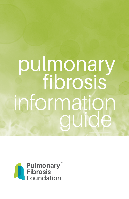# pulmonary guide information fibrosis

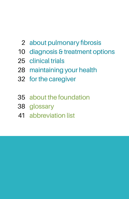- about pulmonary fibrosis
- diagnosis & treatment options
- clinical trials
- maintaining your health
- for the caregiver
- about the foundation
- glossary
- abbreviation list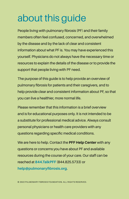# about this guide

People living with pulmonary fibrosis (PF) and their family members often feel confused, concerned, and overwhelmed by the disease and by the lack of clear and consistent information about what PF is. You may have experienced this yourself. Physicians do not always have the necessary time or resources to explain the details of the disease or to provide the support that people living with PF need.

The purpose of this guide is to help provide an overview of pulmonary fibrosis for patients and their caregivers, and to help provide clear and consistent information about PF, so that you can live a healthier, more normal life.

Please remember that this information is a brief overview and is for educational purposes only. It is not intended to be a substitute for professional medical advice. Always consult personal physicians or health care providers with any questions regarding specific medical conditions.

We are here to help. Contact the **PFF Help Center** with any questions or concerns you have about PF and available resources during the course of your care. Our staff can be reached at **844.TalkPFF** (844.825.5733) or **help@pulmonaryfibrosis.org**.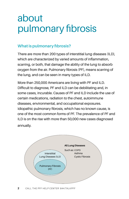# about pulmonary fibrosis

### **What is pulmonary fibrosis?**

There are more than 200 types of interstitial lung diseases (ILD), which are characterized by varied amounts of inflammation, scarring, or both, that damage the ability of the lung to absorb oxygen from the air. Pulmonary fibrosis (PF), means scarring of the lung, and can be seen in many types of ILD.

More than 250,000 Americans are living with PF and ILD. Difficult to diagnose, PF and ILD can be debilitating and, in some cases, incurable. Causes of PF and ILD include the use of certain medications, radiation to the chest, autoimmune diseases, environmental, and occupational exposures. Idiopathic pulmonary fibrosis, which has no known cause, is one of the most common forms of PF. The prevalence of PF and ILD is on the rise with more than 50,000 new cases diagnosed annually.

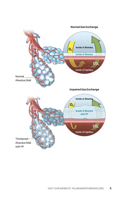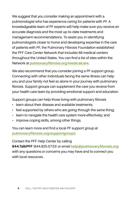We suggest that you consider making an appointment with a pulmonologist who has experience caring for patients with PF. A knowledgeable team of PF experts will help make sure you receive an accurate diagnosis and the most up-to-date treatments and management recommendations. To assist you in identifying pulmonologists closer to home and developing expertise in the care of patients with PF, the Pulmonary Fibrosis Foundation established the PFF Care Center Network that includes 68 medical centers throughout the United States. You can find a list of sites within the Network at **[pulmonaryfibrosis.org/medicalcare](https://www.pulmonaryfibrosis.org/patients-caregivers/medical-and-support-resources/find-medical-care)**.

We also recommend that you consider joining a PF support group. Connecting with other individuals facing the same illness can help you and your family not feel so alone in your journey with pulmonary fibrosis. Support groups can supplement the care you receive from your health care team by providing emotional support and education.

Support groups can help those living with pulmonary fibrosis

- learn about their disease and available treatments;
- feel supported by others who are going through the same thing:
- learn to navigate the health care system more effectively; and
- improve coping skills, among other things.

You can learn more and find a local PF support group at **[pulmonaryfibrosis.org/s](http://pulmonaryfibrosis.org/life-with-pf/support-groups)upportgroups**.

Contact the PFF Help Center by calling

**844.TalkPFF** (844.825.5733) or email **hel[p@pulmonaryfibrosis.org](mailto:pcc%40pulmonaryfibrosis.org?subject=)** with any questions or concerns you may have and to connect you with local resources.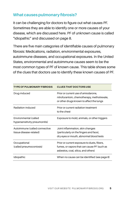### **What causes pulmonary fibrosis?**

It can be challenging for doctors to figure out what causes PF. Sometimes they are able to identify one or more causes of your disease, which are discussed here. PF of unknown cause is called "idiopathic" and discussed on page 8.

There are five main categories of identifiable causes of pulmonary fibrosis: Medications, radiation, environmental exposures, autoimmune diseases, and occupational exposures. In the United States, environmental and autoimmune causes seem to be the most common types of PF of known cause. This table shows some of the clues that doctors use to identify these known causes of PF.

| <b>TYPE OF PULMONARY FIBROSIS</b>                        | <b>CLUES THAT DOCTORS USE</b>                                                                                                     |
|----------------------------------------------------------|-----------------------------------------------------------------------------------------------------------------------------------|
| Drug-induced                                             | Prior or current use of amiodarone,<br>nitrofurantoin, chemotherapy, methotrexate,<br>or other drugs known to affect the lungs    |
| Radiation-induced                                        | Prior or current radiation treatment<br>to the chest                                                                              |
| Environmental (called<br>hypersensitivity pneumonitis)   | Exposure to mold, animals, or other triggers                                                                                      |
| Autoimmune (called connective<br>tissue disease-related) | Joint inflammation, skin changes<br>(particularly on the fingers and face),<br>dry eyes or mouth, abnormal blood tests            |
| Occupational<br>(called pneumoconiosis)                  | Prior or current exposure to dusts, fibers,<br>fumes, or vapors that can cause PF (such as<br>asbestos, coal, silica, and others) |
| Idiopathic                                               | When no cause can be identified (see page 8)                                                                                      |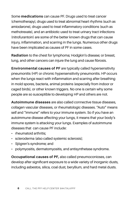Some **medications** can cause PF. Drugs used to treat cancer (chemotherapy), drugs used to treat abnormal heart rhythms (such as amiodarone), drugs used to treat inflammatory conditions (such as methotrexate), and an antibiotic used to treat urinary tract infections (nitrofurantoin) are some of the better known drugs that can cause injury, inflammation, and scarring in the lungs. Numerous other drugs have been implicated as causes of PF in some cases.

**Radiation** to the chest for lymphoma; Hodgkin's disease; or breast, lung, and other cancers can injure the lung and cause fibrosis.

**Environmental causes of PF** are typically called hypersensitivity pneumonitis (HP) or chronic hypersensitivity pneumonitis. HP occurs when the lungs react with inflammation and scarring after breathing in mold spores, bacteria, animal proteins (especially from indoor or caged birds), or other known triggers. No one is certain why some people are so susceptible to developing HP and others are not.

**Autoimmune diseases** are also called connective tissue diseases, collagen vascular diseases, or rheumatologic diseases. "Auto" means self and "immune" refers to your immune system. So if you have an autoimmune disease affecting your lungs, it means that your body's immune system is attacking your lungs. Examples of autoimmune diseases that can cause PF include:

- rheumatoid arthritis:
- scleroderma (also called systemic sclerosis);
- Sjögren's syndrome; and
- polymyositis, dermatomyositis, and antisynthetase syndrome.

**Occupational causes of PF,** also called pneumoconioses, can develop after significant exposure to a wide variety of inorganic dusts, including asbestos, silica, coal dust, beryllium, and hard metal dusts.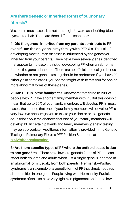# **Are there genetic or inherited forms of pulmonary fibrosis?**

Yes, but in most cases, it is not as straightforward as inheriting blue eyes or red hair. There are three different scenarios:

**1) Did the genes I inherited from my parents contribute to PF even if I am the only one in my family with PF?** Yes. The risk of developing most human diseases is influenced by the genes you inherited from your parents. There have been several genes identified that appear to increase the risk of developing PF when an abnormal form of the gene is inherited. There are no official medical guidelines on whether or not genetic testing should be performed if you have PF, although in some cases, your doctor might wish to test you for one or more abnormal forms of these genes.

**2) Can PF run in the family?** Yes. Anywhere from three to 20% of people with PF have another family member with PF. But this doesn't mean that up to 20% of your family members will develop PF. In most cases, the chance that one of your family members will develop PF is very low. We encourage you to talk to your doctor or to a genetic counselor about the chances that one of your family members will develop PF. In certain patients and family members, genetic testing may be appropriate. Additional information is provided in the Genetic Testing in Pulmonary Fibrosis PFF Position Statement at **[bit.ly/pffgenetictesting.](http://bit.ly/pffgenetictesting)**

**3) Are there specific types of PF where the entire disease is due to one gene?** Yes. There are a few rare genetic forms of PF that can affect both children and adults when just a single gene is inherited in an abnormal form (usually from both parents). Hermansky-Pudlak syndrome is an example of a genetic form of PF that simply requires abnormalities in one gene. People living with Hermansky-Pudlak syndrome often also have very light skin pigmentation (due to low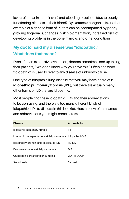levels of melanin in their skin) and bleeding problems (due to poorly functioning platelets in their blood). Dyskeratosis congenita is another example of a genetic form of PF that can be accompanied by poorly growing fingernails, changes in skin pigmentation, increased risks of developing problems in the bone marrow, and other conditions.

# **My doctor said my disease was "idiopathic." What does that mean?**

Even after an exhaustive evaluation, doctors sometimes end up telling their patients, "We don't know why you have this." Often, the word "idiopathic" is used to refer to any disease of unknown cause.

One type of idiopathic lung disease that you may have heard of is **idiopathic pulmonary fibrosis (IPF)**, but there are actually many other forms of ILD that are idiopathic.

Most people find these idiopathic ILDs and their abbreviations to be confusing, and there are too many different kinds of idiopathic ILDs to discuss in this booklet. Here are few of the names and abbreviations you might come across:

| <b>Disease</b>                                                 | Abbreviation |
|----------------------------------------------------------------|--------------|
| Idiopathic pulmonary fibrosis                                  | IPF          |
| Idiopathic non-specific interstitial pneumonia Idiopathic NSIP |              |
| Respiratory-bronchiolitis-associated ILD                       | RB-ILD       |
| Desquamative interstitial pneumonia                            | <b>DIP</b>   |
| Cryptogenic organizing pneumonia                               | COP or BOOP  |
| Sarcoidosis                                                    | Sarcoid      |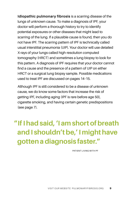**Idiopathic pulmonary fibrosis** is a scarring disease of the lungs of unknown cause. To make a diagnosis of IPF, your doctor will perform a thorough history to try to identify potential exposures or other diseases that might lead to scarring of the lung. If a plausible cause is found, then you do not have IPF. The scarring pattern of IPF is technically called usual interstitial pneumonia (UIP). Your doctor will use detailed X-rays of your lungs called high-resolution computed tomography (HRCT) and sometimes a lung biopsy to look for this pattern. A diagnosis of IPF requires that your doctor cannot find a cause and the presence of a pattern of UIP on either HRCT or a surgical lung biopsy sample. Possible medications used to treat IPF are discussed on pages 14–15.

Although IPF is still considered to be a disease of unknown cause, we do know some factors that increase the risk of getting IPF, including aging (IPF is rare before age 50), cigarette smoking, and having certain genetic predispositions (see page 7).

# **"If I had said, 'I am short of breath and I shouldn't be,' I might have gotten a diagnosis faster."**

PATIENT LIVING WITH PF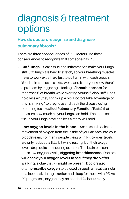# diagnosis & treatment options

# **How do doctors recognize and diagnose pulmonary fibrosis?**

There are three consequences of PF. Doctors use these consequences to recognize that someone has PF.

- **Stiff lungs** Scar tissue and inflammation make your lungs stiff. Stiff lungs are hard to stretch, so your breathing muscles have to work extra hard just to pull air in with each breath. Your brain senses this extra work, and it lets you know there's a problem by triggering a feeling of **breathlessness** (or "shortness" of breath) while exerting yourself. Also, stiff lungs hold less air (they shrink up a bit). Doctors take advantage of this "shrinking" to diagnose and track the disease using breathing tests **(called Pulmonary Function Tests)** that measure how much air your lungs can hold. The more scar tissue your lungs have, the less air they will hold.
- **Low oxygen levels in the blood** Scar tissue blocks the movement of oxygen from the inside of your air sacs into your bloodstream. For many people living with PF, oxygen levels are only reduced a little bit while resting, but their oxygen levels drop quite a bit during exertion. The brain can sense these low oxygen levels, triggering **breathlessness.** Doctors will **check your oxygen levels to see if they drop after walking,** a clue that PF might be present. Doctors also often **prescribe oxygen** to be used through a nasal cannula or a facemask during exertion and sleep for those with PF. As PF progresses, oxygen may be needed 24 hours a day.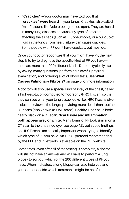• **"Crackles"** — Your doctor may have told you that **"crackles" were heard** in your lungs. Crackles (also called "rales") sound like Velcro being pulled apart. They are heard in many lung diseases because any type of problem affecting the air sacs (such as PF, pneumonia, or a buildup of fluid in the lungs from heart failure) can cause crackles. Some people with PF don't have crackles, but most do.

Once your doctor recognizes that you might have PF, the next step is to try to diagnose the specific kind of PF you have  $$ there are more than 200 different kinds. Doctors typically start by asking many questions, performing a careful physical examination, and ordering a lot of blood tests. See **What Causes Pulmonary Fibrosis?** on page 5 for more information.

A doctor will also use a special kind of X-ray of the chest, called a high-resolution computed tomography (HRCT) scan, so that they can see what your lung tissue looks like. HRCT scans give a close-up view of the lungs, providing more detail than routine CT scans (also known as CAT scans). Healthy lung tissue looks nearly black on a CT scan. **Scar tissue and inflammation both appear grey or white.** Many forms of PF look similar on a CT scan to the untrained eye (see page 12), but subtle findings on HRCT scans are critically important when trying to identify which type of PF you have. An HRCT protocol recommended by the PFF and PF experts is available on the PFF website.

Sometimes, even after all of the testing is complete, a doctor will still not have an answer and will have to perform a lung biopsy to sort out which of the 200 different types of PF you have. When indicated, a lung biopsy can also help you and your doctor decide which treatments might be helpful.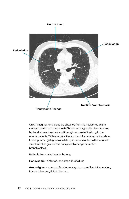

On CT imaging, lung slices are obtained from the neck through the stomach similar to slicing a loaf of bread. Air is typically black as noted by the air above the chest and throughout most of the lung in the normal patients. With abnormalities such as inflammation or fibrosis in the lung, varying degrees of white opacities are noted in the lung with structural changes such as honeycomb change or traction bronchiectasis.

**Reticulation** – extra lines in the lung

**Honeycomb** – distorted, end stage fibrotic lung

**Ground glass** – nonspecific abnormality that may reflect inflammation, fibrosis, bleeding, fluid in the lung.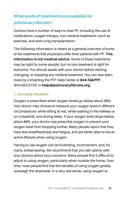# **What kinds of treatments are available for pulmonary fibrosis?**

Doctors have a number of ways to treat PF, including the use of medications, oxygen therapy, non-medical treatments (such as exercise), and even lung transplantation.

The following information is meant as a general overview of some of the treatments that physicians offer their patients with PF. **This information is not medical advice.** Some of these treatments may be right for some people, but no one treatment is right for everyone. You should speak with your doctor before starting, changing, or stopping any medical treatment. You can also learn more by contacting the PFF Help Center at **844.TalkPFF**  (844.825.5733) or **help@pulmonaryfibrosis.org.**

#### **1. OXYGEN THERAPY**

Oxygen is prescribed when oxygen levels go below about 88%. Your doctor may choose to measure your oxygen level in different circumstances: while sitting at rest, while walking in the hallway or on a treadmill, and during sleep. If your oxygen level drops below about 88%, your doctor may prescribe oxygen to prevent your oxygen level from dropping further. Many people report that they have less breathlessness and fatigue, and are better able to live an active lifestyle when using oxygen.

Having to use oxygen can be frustrating, inconvenient, and, for many, embarrassing. We recommend that you talk openly with your doctors about your concerns. Many people find it difficult to adjust to using oxygen, particularly when outside the home. Over time, most people find that the benefits of using oxygen greatly outweigh the downside. In a very real sense, using oxygen to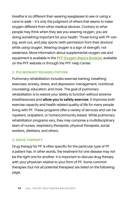breathe is no different than wearing eyeglasses to see or using a cane to walk — it's only the judgment of others that seems to make oxygen different from other medical devices. Contrary to what people may think when they see you wearing oxygen, you are doing something important for your health. Those living with PF can jog, work out, and play sports (with permission from their doctors) while using oxygen. Wearing oxygen is a sign of strength, not weakness. More information about supplemental oxygen use and equipment is available in the **[PFF Oxygen Basics Booklet](https://www.pulmonaryfibrosis.org/docs/default-source/programs/educational-materials/oxygen-basics/oxygen-basics-booklet.pdf)**, available on the PFF website or through the PFF Help Center.

#### **2. PULMONARY REHABILITATION**

Pulmonary rehabilitation includes exercise training; breathing exercises; anxiety, stress, and depression management; nutritional counseling; education; and more. The goal of pulmonary rehabilitation is to restore your ability to function without extreme breathlessness and **allow you to safely exercise**. It improves both exercise capacity and health-related quality of life for many people living with PF. These programs offer a variety of services and can be inpatient, outpatient, or home/community-based. While pulmonary rehabilitation programs vary, they may comprise a multidisciplinary team of nurses, respiratory therapists, physical therapists, social workers, dietitians, and others.

#### **3. DRUG THERAPY**

Drug therapy for PF is often specific for the particular type of PF a patient has. In other words, the treatment for one disease may not be the right one for another. It is important to discuss drug therapy with your physician relative to your form of PF. Some common therapies (but not all potential therapies) are listed on the following page.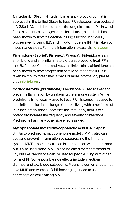**Nintedanib (Ofev® ):** Nintedanib is an anti-fibrotic drug that is approved in the United States to treat IPF, scleroderma-associated ILD (SSc-ILD), and chronic interstitial lung diseases (ILDs) in which fibrosis continues to progress. In clinical trials, nintedanib has been shown to slow the decline in lung function in SSc-ILD, progressive fibrosing ILD, and mild-to-moderate IPF. It is taken by mouth twice a day. For more information, please visit **[ofev.com](http://ofev.com)**.

**Pirfenidone (Esbriet<sup>®</sup>, Pirfenex<sup>®</sup>, Pirespa<sup>®</sup>): Pirfenidone is an** anti-fibrotic and anti-inflammatory drug approved to treat IPF in the US, Europe, Canada, and Asia. In clinical trials, pirfenidone has been shown to slow progression of mild-to-moderate IPF. It is taken by mouth three times a day. For more information, please visit **[esbriet.com](http://esbriet.com)**.

**Corticosteroids (prednisone):** Prednisone is used to treat and prevent inflammation by weakening the immune system. While prednisone is not usually used to treat IPF, it is sometimes used to treat inflammation in the lungs of people living with other forms of PF. Since prednisone suppresses the immune system, it can potentially increase the frequency and severity of infections. Prednisone has many other side effects as well.

**Mycophenolate mofetil/mycophenolic acid (CellCept® ):** Similar to prednisone, mycophenolate mofetil (MMF) also can treat and prevent inflammation by suppressing the immune system. MMF is sometimes used in combination with prednisone, but is also used alone. MMF is not indicated for the treatment of IPF, but like prednisone can be used for people living with other forms of PF. Some possible side effects include infections, diarrhea, and low blood cell counts. Pregnant women should not take MMF, and women of childbearing age need to use contraception while taking MMF.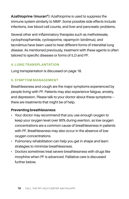**Azathioprine (Imuran®):** Azathioprine is used to suppress the immune system similarly to MMF. Some possible side effects include infections, low blood cell counts, and liver and pancreatic problems.

Several other anti-inflammatory therapies such as methotrexate, cyclophosphamide, cyclosporine, rapamycin (sirolimus), and tacrolimus have been used to treat different forms of interstitial lung disease. As mentioned previously, treatment with these agents is often tailored to specific diseases or forms of ILD and PF.

#### **4. LUNG TRANSPLANTATION**

Lung transplantation is discussed on page 18.

#### **5. SYMPTOM MANAGEMENT**

Breathlessness and cough are the major symptoms experienced by people living with PF. Patients may also experience fatigue, anxiety, and depression. Please talk to your doctor about these symptoms there are treatments that might be of help.

#### **Preventing breathlessness**

- Your doctor may recommend that you use enough oxygen to keep your oxygen level over 90% during exertion, as low oxygen concentrations are a common cause of breathlessness in patients with PF. Breathlessness may also occur in the absence of low oxygen concentrations.
- Pulmonary rehabilitation can help you get in shape and learn strategies to minimize breathlessness.
- Doctors sometimes treat severe breathlessness with drugs like morphine when PF is advanced. Palliative care is discussed further below.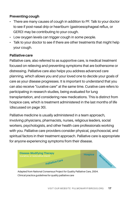#### **Preventing cough**

- There are many causes of cough in addition to PF. Talk to your doctor to see if post-nasal drip or heartburn (gastroesophageal reflux, or GERD) may be contributing to your cough.
- Low oxygen levels can trigger cough in some people.
- Talk to your doctor to see if there are other treatments that might help your cough.

#### **Palliative care**

Palliative care, also referred to as supportive care, is medical treatment focused on relieving and preventing symptoms that are bothersome or distressing. Palliative care also helps you address advanced care planning, which allows you and your loved one to decide your goals of care as your disease progresses. It is important to understand that you can also receive "curative care" at the same time. Curative care refers to participating in research studies, being evaluated for lung transplantation, and considering new medications. This is distinct from hospice care, which is treatment administered in the last months of life (discussed on page 30).

Palliative medicine is usually administered in a team approach, involving physicians, pharmacists, nurses, religious leaders, social workers, psychologists, and other health care professionals working with you. Palliative care providers consider physical, psychosocial, and spiritual factors in their treatment approach. Palliative care is appropriate for anyone experiencing symptoms from their disease.



Adapted from National Consensus Project for Quality Palliative Care, 2004. Clinical practice guidelines for quality palliative care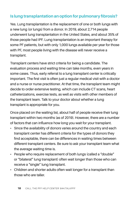# **Is lung transplantation an option for pulmonary fibrosis?**

Yes. Lung transplantation is the replacement of one or both lungs with a new lung (or lungs) from a donor. In 2019, about 2,714 people underwent lung transplantation in the United States, and about 35% of those people had IPF. Lung transplantation is an important therapy for some PF patients, but with only 1,000 lungs available per year for those with PF, most people living with the disease will never receive a transplant.

Transplant centers have strict criteria for being a candidate. The evaluation process and waiting time can take months, even years in some cases. Thus, early referral to a lung transplant center is critically important. The first visit is often just a regular medical visit with a doctor and a nurse or nurse practitioner. At that time, the transplant team might decide to order extensive testing, which can include CT scans, heart catheterizations, exercise tests, as well as visits with other members of the transplant team. Talk to your doctor about whether a lung transplant is appropriate for you.

Once placed on the waiting list, about half of people receive their lung transplant within two months (as of 2019). However, there are a number of factors that can influence how long you wait for your transplant.

- Since the availability of donors varies around the country and each transplant center has different criteria for the types of donors they find acceptable, there can be differences in waiting times between different transplant centers. Be sure to ask your transplant team what the average waiting time is.
- People who require replacement of both lungs (called a "double" or "bilateral" lung transplant) often wait longer than those who can receive a "single" lung transplant.
- Children and shorter adults often wait longer for a transplant than those who are taller.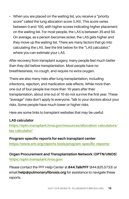• When you are placed on the waiting list, you receive a "priority" score" called the lung allocation score (LAS). This score varies between 0 and 100, with higher scores indicating higher placement on the waiting list. For most people, the LAS is between 35 and 50. On average, as a person becomes sicker, the LAS gets higher and they move up the waiting list. There are many factors that go into calculating the LAS. See the link below for the "LAS calculator," where you can estimate your LAS.

After recovery from transplant surgery, many people feel much better than they did before transplantation. Most people have no breathlessness, no cough, and require no extra oxygen.

There are also many risks after lung transplantation, including infections, rejection, and medication side effects. While more than one out of four people live more than 10 years after their transplantation, about one out of 10 do not survive the first year. These "average" risks don't apply to everyone. Talk to your doctors about your risks. Some people have much lower or higher risks.

Here are some links to transplant websites that may be useful:

#### **LAS calculator**

**[https://optn.transplant.hrsa.gov/resources/allocation-calculators/](https://optn.transplant.hrsa.gov/resources/allocation-calculators/las-calculator/) [las-calculator/](https://optn.transplant.hrsa.gov/resources/allocation-calculators/las-calculator/)**

**Program-specific reports for each transplant center <https://www.srtr.org/reports-tools/program-specific-reports/>**

**Organ Procurement and Transplantation Network (OPTN/UNOS) <https://optn.transplant.hrsa.gov/>**

Please contact the PFF Help Center at **844.TalkPFF** (844.825.5733) or email **help@pulmonaryfibrosis.org** for assistance to navigate these reports.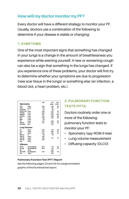### **How will my doctor monitor my PF?**

Every doctor will have a different strategy to monitor your PF. Usually, doctors use a combination of the following to determine if your disease is stable or changing:

#### **1. SYMPTOMS**

One of the most important signs that something has changed in your lungs is a change in the amount of breathlessness you experience while exerting yourself. A new or worsening cough can also be a sign that something in the lungs has changed. If you experience one of these problems, your doctor will first try to determine whether your symptoms are due to progression (new scar tissue in the lungs) or something else (an infection, a blood clot, a heart problem, etc.).

|                   |                | Ref  | Pre  | Pre   |
|-------------------|----------------|------|------|-------|
|                   | Spirometry     |      | Meas | % Ref |
| <b>FVC</b>        | Liters         | 3.45 | 1.64 | 48    |
| FFV1              | I iters        | 274  | 1.40 | 51    |
| FEV1/FVC          | %              | 79   | 86   |       |
| FEF25-75% L/sec   |                | 2.69 | 2.23 | 83    |
| FEF25%            | <b>L</b> /sec  | 5.64 | 4.08 | 72    |
| FFF50%            | L/sec          | 3.61 | 5.25 | 145   |
| FFF75%            | I Isec         | 1.32 | 0.64 | 48    |
| PEF               | L/sec          | 6.09 | 5.25 | 86    |
| <b>MVV</b>        | I /min         | 95   |      |       |
| PIF               | I leec         | 4.17 | 2.46 | 59    |
| <b>FIF50%</b>     | Lisec          | 3.73 | 2.23 | 60    |
| FET100%           | Sec            |      | 7.21 |       |
| Lung Volumes      |                |      |      |       |
| VC                | Liters         | 3.45 | 1.64 | 48    |
| <b>TLC</b>        | Liters         | 5.37 | 2.55 | 47    |
| RV                | Liters         | 2.01 | 0.91 | 45    |
| <b>RV/TLC</b>     | %              | 38   | 36   |       |
| FRC PL            | <b>I</b> Iters | 3.04 |      |       |
| FRC <sub>N2</sub> | Liters         | 3.04 | 1.11 | 37    |
| FRC He            | <b>Liters</b>  | 3.04 |      |       |
| Vta               | Liters         |      |      |       |
| Diffusion         |                |      |      |       |
| <b>DLCO</b>       | mL/mmHq/min    | 26.6 | 5.9  | 22    |
| DL Adi            | mL/mmHa/min    | 26.6 | 5.9  | 22    |
| VA                | I iters        |      | 2.32 |       |
| DLCO/VA           | mLmHg/min/L    | 5.18 | 2.55 | 49    |
| <b>IVC</b>        | Liters         |      | 1.63 |       |

#### **2. PULMONARY FUNCTION TESTS (PFTs)**

Doctors routinely order one or more of the following pulmonary function tests to monitor your PF:

- Spirometry (spy-ROM-it-tree)
- Lung volume measurement
- Diffusing capacity (DLCO)

#### **Pulmonary Function Test (PFT) Report**

See the following pages (22 and 23) for a large annotated graphic of this thumbnail test report.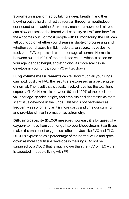**Spirometry** is performed by taking a deep breath in and then blowing out as hard and fast as you can through a mouthpiece connected to a machine. Spirometry measures how much air you can blow out (called the forced vital capacity or FVC) and how fast the air comes out. For most people with PF, monitoring the FVC can tell your doctor whether your disease is stable or progressing and whether your disease is mild, moderate, or severe. It's easiest to track your FVC expressed as a percentage of normal. Normal is between 80 and 100% of the predicted value (which is based on your age, gender, height, and ethnicity). As more scar tissue develops in your lungs, your FVC will go down.

**Lung volume measurements** can tell how much air your lungs can hold. Just like FVC, the results are expressed as a percentage of normal. The result that is usually tracked is called the total lung capacity (TLC). Normal is between 80 and 100% of the predicted value for age, gender, height, and ethnicity and decreases as more scar tissue develops in the lungs. This test is not performed as frequently as spirometry as it is more costly and time consuming and provides similar information as spirometry.

**Diffusing capacity (DLCO)** measures how easy it is for gases (like oxygen) to move from your lungs into your bloodstream. Scar tissue makes the transfer of oxygen less efficient. Just like FVC and TLC, DLCO is expressed as a percentage of the normal value and goes down as more scar tissue develops in the lungs. Do not be surprised by a DLCO that is much lower than the FVC or TLC — that is expected in people living with PF.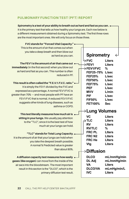#### **PULMONARY FUNCTION TEST (PFT) REPORT**

**Spirometry is a test of your ability to breath out as hard and fast as you can.**  It is the primary test that tells us how healthy your lungs are. Each row below is a different measurement obtained during a Spirometry test. The first three rows are the most important ones. We will only focus on those three.

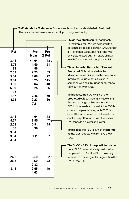|                                           |                                                                        |                                                   | This is the actual result of each test.<br>For example, for FVC, we expected this                                                                                                                                                                                                                                                                                      |
|-------------------------------------------|------------------------------------------------------------------------|---------------------------------------------------|------------------------------------------------------------------------------------------------------------------------------------------------------------------------------------------------------------------------------------------------------------------------------------------------------------------------------------------------------------------------|
| Ref<br>3.45<br>2.74<br>79<br>2.69<br>5.64 | Pre<br><b>Meas</b><br>$\rightarrow$ 1.64<br>1.40<br>86<br>2.23<br>4.08 | Pre<br>% Ref<br>$48 \leftarrow$<br>51<br>83<br>72 | person to be able to blow out 3.45 Liters of<br>air (Reference value), but he or she was<br>only able to blow out 1.64 Liters of air. A<br>low FVC is common in people with PF.<br>$\rightarrow$ This column is often called "Percent<br><b>Predicted."</b> It is calculated as the<br>Measured value divided by the Reference<br>(predicted) value. A normal value in |
| 3.61<br>1.32<br>6.09<br>95                | 5.25<br>0.64<br>5.25                                                   | 145<br>48<br>86                                   | someone with healthy lungs might range<br>from 80% to over 100%.<br>$\bullet$ In this case, the FVC is 48% of the                                                                                                                                                                                                                                                      |
| 4.17<br>3.73                              | 2.46<br>2.23<br>7.21                                                   | 59<br>60                                          | predicted value. Since 48% is lower than<br>the normal range of 80% or more, the<br>FVC in this case is abnormal. A low FVC is<br>common in people living with PF. This is<br>one of the most important test results that                                                                                                                                              |
| 3.45<br>5.37<br>2.01<br>38                | 1.64<br>2.55<br>0.91<br>36                                             | 48<br>$47 \leftarrow$<br>45                       | doctors pay attention to. As PF worsens,<br>FVC tends to go lower and lower.                                                                                                                                                                                                                                                                                           |
| 3.04<br>3.04<br>3.04                      | 1.11                                                                   | 37                                                | $\bullet$ In this case the TLC is 47% of the normal<br>value. Most people with PF have a low<br>TLC.                                                                                                                                                                                                                                                                   |
|                                           |                                                                        |                                                   | $\bullet$ The DLCO is 22% of the predicted value<br>here. DLCO is almost always reduced in<br>people with PF. And the DLCO is usually                                                                                                                                                                                                                                  |
| 26.6<br>26.6                              | 5.9<br>5.9<br>2.32                                                     | $22 \leftarrow$<br>22                             | reduced to a much greater degree than the<br>FVC or the TLC.                                                                                                                                                                                                                                                                                                           |
| 5.18                                      | 2.55<br>1.63                                                           | 49                                                |                                                                                                                                                                                                                                                                                                                                                                        |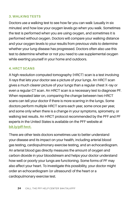#### **3. WALKING TESTS**

Doctors use a walking test to see how far you can walk (usually in six minutes) and how low your oxygen levels go when you walk. Sometimes the test is performed when you are using oxygen, and sometimes it is performed without oxygen. Doctors will compare your walking distance and your oxygen levels to your results from previous visits to determine whether your lung disease has progressed. Doctors often also use this test to determine whether or not you need to use supplemental oxygen while exerting yourself in your home and outdoors.

#### **4. HRCT SCANS**

A high resolution computed tomography (HRCT) scan is a test involving X-rays that lets your doctor see a picture of your lungs. An HRCT scan gives a much clearer picture of your lungs than a regular chest X–ray or even a regular CT scan. An HRCT scan is a necessary test to diagnose PF. When repeated later on, comparing the change between two HRCT scans can tell your doctor if there is more scarring in the lungs. Some doctors perform multiple HRCT scans each year, some once per year, and some only when there is a change in your symptoms, spirometry, or walking test results. An HRCT protocol recommended by the PFF and PF experts in the United States is available on the PFF website at **[bit.ly/pff-hrct](https://bit.ly/pff-hrct)[.](http://bit.ly/pffhrct.)**

There are other tests doctors sometimes use to better understand your disease and its impact on your health, including arterial blood gas testing, cardiopulmonary exercise testing, and an echocardiogram. An arterial blood gas directly measures the amount of oxygen and carbon dioxide in your bloodstream and helps your doctor understand how well or poorly your lungs are functioning. Some forms of PF may also affect your heart. To investigate this possibility, your doctor might order an echocardiogram (or ultrasound) of the heart or a cardiopulmonary exercise test.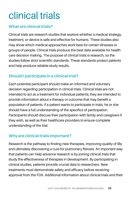# clinical trials

# **What are clinical trials?**

Clinical trials are research studies that explore whether a medical strategy, treatment, or device is safe and effective for humans. These studies also may show which medical approaches work best for certain illnesses or groups of people. Clinical trials produce the best data available for health care decision making. The purpose of clinical trials is research, so the studies follow strict scientific standards. These standards protect patients and help produce reliable study results.

# **Should I participate in a clinical trial?**

Each potential participant should make an informed and voluntary decision regarding participation in clinical trials. Clinical trials are not intended to act as a treatment for individual patients; they are intended to provide information about a therapy or outcome that may benefit a population of patients. If a patient wants to participate in trials, he or she should have a full understanding of the specifics of participation. Participants should discuss their participation with family and caregivers if they wish, as well as their healthcare providers to ensure complete understanding of the trial.

# **Why are clinical trials important?**

Research is the pathway to finding new therapies, improving quality of life, and ultimately discovering a cure for pulmonary fibrosis. An important way that patients can help advance research is by joining clinical trials that study the effectiveness of therapies in development. By participating in clinical studies, patients provide crucial data to researchers. New treatments must demonstrate safety and efficacy before receiving approval from the FDA. Additional information about clinical trials and their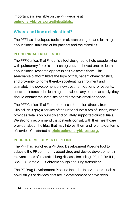importance is available on the PFF website at **[pulmonaryfibrosis.org/clinicaltrials.](http://www.pulmonaryfibrosis.org/clinicaltrials)**

### **Where can I find a clinical trial?**

The PFF has developed tools to make searching for and learning about clinical trials easier for patients and their families.

#### **PFF CLINICAL TRIAL FINDER**

The PFF Clinical Trial Finder is a tool designed to help people living with pulmonary fibrosis, their caregivers, and loved ones to learn about clinical research opportunities closest to them. This searchable platform filters the type of trial, patient characteristics, and proximity to home thereby accelerating enrollment and ultimately the development of new treatment options for patients. If users are interested in learning more about any particular study, they should contact the listed site coordinator via email or phone.

The PFF Clinical Trial Finder obtains information directly from ClinicalTrials.gov, a service of the National Institutes of Health, which provides details on publicly and privately supported clinical trials. We strongly recommend that patients consult with their healthcare provider about the trials that may interest them and refer to our terms of service. Get started at **[trials.pulmonaryfibrosis.org.](http://trials.pulmonaryfibrosis.org.)**

#### **PF DRUG DEVELOPMENT PIPELINE**

The PFF has launched a PF Drug Development Pipeline tool to educate the PF community about drug and device development in relevant areas of interstitial lung disease, including IPF, HP, RA-ILD, SSc-ILD, Sarcoid-ILD, chronic cough and lung transplant.

The PF Drug Development Pipeline includes interventions, such as novel drugs or devices, that are in development or have been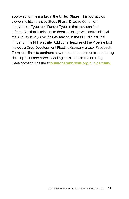approved for the market in the United States. This tool allows viewers to filter trials by Study Phase, Disease Condition, Intervention Type, and Funder Type so that they can find information that is relevant to them. All drugs with active clinical trials link to study-specific information in the PFF Clinical Trial Finder on the PFF website. Additional features of the Pipeline tool include a Drug Development Pipeline Glossary, a User Feedback Form, and links to pertinent news and announcements about drug development and corresponding trials. Access the PF Drug Development Pipeline at **[pulmonaryfibrosis.org/clinicaltrials.](http://www.pulmonaryfibrosis.org/clinicaltrials)**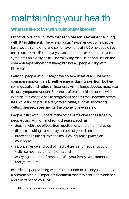# maintaining your health

# **What is it like to live with pulmonary fibrosis?**

First of all, you should know that **each person's experience living with PF is different**. There is no "usual" experience. Some people have severe symptoms, and some have none at all. Some people live an almost normal life for many years, but others experience severe symptoms on a daily basis. The following discussion focuses on the common experiences that many, but not all, people living with PF report.

Early on, people with PF may have no symptoms at all. The most common symptoms are **breathlessness during exertion**, bothersome **cough**, and **fatigue** (tiredness). As the lungs develop more scar tissue, symptoms worsen. Shortness of breath initially occurs with exercise, but as the disease progresses patients may become breathless while taking part in everyday activities, such as showering, getting dressed, speaking on the phone, or even eating.

People living with PF share many of the same challenges faced by people living with other chronic diseases, such as

- dealing with side effects from medications and other therapies;
- distress resulting from the symptoms of your disease;
- frustration resulting from the limits your disease places on your body;
- inconvenience and cost of medical tests and frequent doctor visits, sometimes far from home; and
- worrying about the "three big Fs"-your family, your finances, and your future.

In addition, people living with PF often need to use oxygen therapy, a burdensome but important treatment that may add inconvenience and frustration to your life.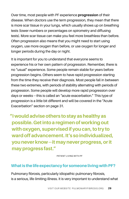Over time, most people with PF experience **progression** of their disease. When doctors use the term progression, they mean that there is more scar tissue in your lungs, which usually shows up on breathing tests (lower numbers or percentages on spirometry and diffusing tests). More scar tissue can make you feel more breathless than before. Often progression also means that you might need to start using oxygen, use more oxygen than before, or use oxygen for longer and longer periods during the day or night.

It is important for you to understand that everyone seems to experience his or her own pattern of progression. Remember, there is no "usual" experience. Some people remain stable for years before progression begins. Others seem to have rapid progression starting from the time they receive their diagnosis. Most people fall in between these two extremes, with periods of stability alternating with periods of progression. Some people will develop more rapid progression over days or weeks — this is called an "acute exacerbation." This type of progression is a little bit different and will be covered in the "Acute Exacerbation" section on page 31.

**"I would advise others to stay as healthy as possible. Get into a regimen of working out with oxygen, supervised if you can, to try to ward off advancement. It's so individualized, you never know — it may never progress, or it may progress fast."** 

PATIENT LIVING WITH PF

### **What is the life expectancy for someone living with PF?**

Pulmonary fibrosis, particularly idiopathic pulmonary fibrosis, is a serious, life-limiting illness. It is very important to understand what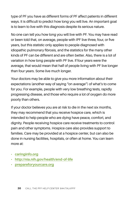type of PF you have as different forms of PF affect patients in different ways. It is difficult to predict how long you will live. An important goal is to learn to live with this diagnosis despite its serious nature.

No one can tell you how long you will live with PF. You may have read or been told that, on average, people with IPF live three, four, or five years, but this statistic only applies to people diagnosed with idiopathic pulmonary fibrosis, and the statistics for the many other kinds of PF can be different and are often better. Also, there is a lot of variation in how long people with PF live. If four years were the average, that would mean that half of people living with PF live longer than four years. Some live much longer.

Your doctors may be able to give you more information about their expectations (another way of saying "on average") of what's to come for you. For example, people with very low breathing tests, rapidly progressing disease, and those who require a lot of oxygen do more poorly than others.

If your doctor believes you are at risk to die in the next six months, they may recommend that you receive hospice care, which is intended to help people who are dying have peace, comfort, and dignity. People receiving hospice care receive treatments to control pain and other symptoms. Hospice care also provides support to families. Care may be provided at a hospice center, but can also be done in nursing facilities, hospitals, or often at home. You can learn more at:

- **[caringinfo.org](http://caringinfo.org)**
- **[http://](http://nihseniorhealth.gov/endoflife/preparingfortheendoflife/01.html)nia.nih.gov/health/end-of-life**
- **[prepareforyourcare.org](http://prepareforyourcare.org)**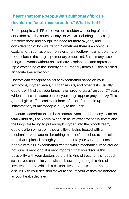# **I heard that some people with pulmonary fibrosis develop an "acute exacerbation." What is that?**

Some people with PF can develop a sudden worsening of their condition over the course of days or weeks, including increasing breathlessness and cough, the need for more oxygen, and consideration of hospitalization. Sometimes there is an obvious explanation, such as pneumonia (a lung infection), heart problems, or blood clots in the lung (a pulmonary embolism). But in many cases, things are worse without an alternative explanation and represent rapid worsening of the underlying pulmonary fibrosis — this is called an "acute exacerbation."

Doctors can recognize an acute exacerbation based on your symptoms, oxygen levels, CT scan results, and other tests. Usually doctors will find that your lungs have "ground-glass" on your CT scan, which means that some parts of your lungs appear grey or hazy. This ground-glass effect can result from infection, fluid build up, inflammation, or microscopic injury to the lungs.

An acute exacerbation can be a serious event, and for many it can be fatal within days or weeks. When an acute exacerbation is severe and the lungs are failing to put enough oxygen into the bloodstream, doctors often bring up the possibility of being treated with a mechanical ventilator (a "breathing machine") attached to a plastic tube that is placed through your mouth into your windpipe. Most people with a PF exacerbation treated with a mechanical ventilator do not survive very long. It is very important that you discuss this possibility with your doctors before this kind of treatment is needed, so that you can make your wishes known regarding this kind of invasive therapy. While this is a sensitive topic, it is important to discuss with your decision maker to ensure your wishes are honored as your health declines.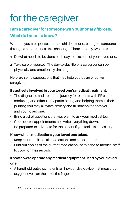# for the caregiver

# **I am a caregiver for someone with pulmonary fibrosis. What do I need to know?**

Whether you are spouse, partner, child, or friend, caring for someone through a serious illness is a challenge. There are only two rules.

- **1** Do what needs to be done each day to take care of your loved one.
- **2** Take care of yourself. The day-to-day life of a caregiver can be physically and emotionally draining.

Here are some suggestions that may help you be an effective caregiver.

### **Be actively involved in your loved one's medical treatment.**

- The diagnostic and treatment journey for patients with PF can be confusing and difficult. By participating and helping them in their journey, you may alleviate anxiety and frustration for both you and your loved one.
- Bring a list of questions that you want to ask your medical team.
- Go to doctor appointments and write everything down.
- Be prepared to advocate for the patient if you feel it is necessary.

### **Know which medications your loved one takes.**

- Keep a current list of all medications and supplements.
- Print out copies of the current medication list to hand to medical staff to copy for their records.

### **Know how to operate any medical equipment used by your loved one.**

• A handheld pulse oximeter is an inexpensive device that measures oxygen levels on the tip of the finger.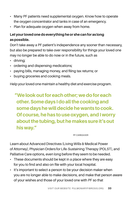- Many PF patients need supplemental oxygen. Know how to operate the oxygen concentrator and tanks in case of an emergency.
- Plan for adequate oxygen when away from home.

### **Let your loved one do everything he or she can for as long as possible.**

Don't take away a PF patient's independence any sooner than necessary, but also be prepared to take over responsibility for things your loved one may no longer be able to do now or in the future, such as

- driving;
- ordering and dispensing medications;
- paying bills, managing money, and filing tax returns; or
- buying groceries and cooking meals.

Help your loved one maintain a healthy diet and exercise program.

**"We look out for each other; we do for each other. Some days I do all the cooking and some days he will decide he wants to cook. Of course, he has to use oxygen, and I worry about the tubing, but he makes sure it's out his way."** 

PF CAREGIVER

Learn about Advanced Directives (Living Wills & Medical Power of Attorney), Physician Orders for Life-Sustaining Therapy (POLST), and Palliative Care options, even long before they seem to be needed.

- These documents should be kept in a place where they are easy for you to find and also on file with your local hospital.
- It's important to select a person to be your decision maker when you are no longer able to make decisions, and make that person aware of your wishes and those of your loved one with PF so that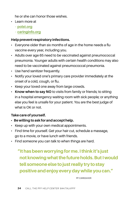he or she can honor those wishes.

- Learn more at
	- **[polst.org](http://polst.org)**
	- **[caringinfo.org](http://caringinfo.org)**

#### **Help prevent respiratory infections.**

- Everyone older than six months of age in the home needs a flu vaccine every year, including you.
- Adults over age 65 need to be vaccinated against pneumococcal pneumonia. Younger adults with certain health conditions may also need to be vaccinated against pneumococcal pneumonia.
- Use hand sanitizer frequently.
- Notify your loved one's primary care provider immediately at the onset of a cold, cough, or flu.
- Keep your loved one away from large crowds.
- **Know when to say NO** to visits from family or friends; to sitting in a hospital emergency waiting room with sick people; or anything else you feel is unsafe for your patient. You are the best judge of what is OK or not.

### **Take care of yourself.**

- **• Be willing to ask for and accept help.**
- Keep up with your own medical appointments.
- Find time for yourself. Get your hair cut, schedule a massage, go to a movie, or have lunch with friends.
- Find someone you can talk to when things are hard.

# **"It has been worrying for me. I think it's just not knowing what the future holds. But I would tell someone else to just really try to stay positive and enjoy every day while you can."**

PF CAREGIVER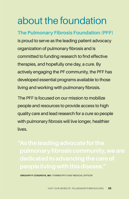# about the foundation

**The Pulmonary Fibrosis Foundation (PFF)** is proud to serve as the leading patient advocacy organization of pulmonary fibrosis and is committed to funding research to find effective therapies, and hopefully one day, a cure. By actively engaging the PF community, the PFF has developed essential programs available to those living and working with pulmonary fibrosis.

The PFF is focused on our mission to mobilize people and resources to provide access to high quality care and lead research for a cure so people with pulmonary fibrosis will live longer, healthier lives.

**GREGORY P. COSGROVE, MD** / FORMER PFF CHIEF MEDICAL OFFICER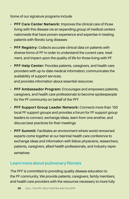#### Some of our signature programs include

- **PFF Care Center Network:** Improves the clinical care of those living with this disease via an expanding group of medical centers nationwide that have proven experience and expertise in treating patients with fibrotic lung diseases
- **PFF Registry:** Collects accurate clinical data on patients with diverse forms of PF in order to understand the current care, treatment, and impact upon the quality of life for those living with PF
- **PFF Help Center:** Provides patients, caregivers, and health care providers with up-to-date medical information; communicates the availability of support services;

and provides information about essential resources

- **PFF Ambassador Program:** Encourages and empowers patients, caregivers, and health care professionals to become spokespeople for the PF community on behalf of the PFF
- **PFF Support Group Leader Network:** Connects more than 150 local PF support groups and provides a forum for PF support group leaders to connect, exchange ideas, learn from one another, and discuss best practices for their meetings
- **PFF Summit:** Facilitates an environment where world-renowned experts come together at our biennial health care conference to exchange ideas and information with fellow physicians, researchers, patients, caregivers, allied health professionals, and industry representatives

# **Learn more about pulmonary fibrosis**

The PFF is committed to providing quality disease education to the PF community. We provide patients, caregivers, family members, and health care providers with the resources necessary to more fully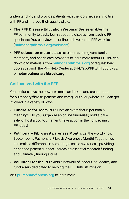understand PF, and provide patients with the tools necessary to live with PF and improve their quality of life.

- **The PFF Disease Education Webinar Series** enables the PF community to easily learn about the disease from leading PF specialists. You can view the online archive on the PFF website (**[pulmonaryfibrosis.org/webinars](http://pulmonaryfibrosis.org/webinars)**).
- **PFF education materials** assist patients, caregivers, family members, and health care providers to learn more about PF. You can download materials from **[pulmonaryfibrosis.org](http://pulmonaryfibrosis.org/life-with-pf/pff-educational-resources/patient-education-materials)** or request hard copies through the PFF Help Center at **844.TalkPFF** (844.825.5733) or **help@pulmonaryfibrosis.org**.

## **Get involved with the PFF**

Your actions have the power to make an impact and create hope for pulmonary fibrosis patients and caregivers everywhere. You can get involved in a variety of ways.

- **Fundraise for Team PFF:** Host an event that is personally meaningful to you. Organize an online fundraiser, hold a bake sale, or host a golf tournament. Take action in the fight against PF today!
- **Pulmonary Fibrosis Awareness Month:** Let the world know September is Pulmonary Fibrosis Awareness Month! Together we can make a difference in spreading disease awareness, providing enhanced patient support, increasing essential research funding, and ultimately finding a cure.
- **Volunteer for the PFF:** Join a network of leaders, advocates, and fundraisers dedicated to helping the PFF fulfill its mission.

Visit **[pulmonaryfibrosis.org](http://pulmonaryfibrosis.org)** to learn more.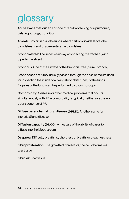# glossary

**Acute exacerbation:** An episode of rapid worsening of a pulmonary (relating to lungs) condition

**Alveoli:** Tiny air sacs in the lungs where carbon dioxide leaves the bloodstream and oxygen enters the bloodstream

**Bronchial tree:** The series of airways connecting the trachea (windpipe) to the alveoli.

**Bronchus:** One of the airways of the bronchial tree (plural: bronchi)

**Bronchoscope:** A tool usually passed through the nose or mouth used for inspecting the inside of airways (bronchial tubes) of the lungs. Biopsies of the lungs can be performed by bronchoscopy.

**Comorbidity:** A disease or other medical problems that occurs simultaneously with PF. A comorbidity is typically neither a cause nor a consequence of PF.

**Diffuse parenchymal lung disease (DPLD):** Another name for interstitial lung disease

**Diffusion capacity (DLCO):** A measure of the ability of gases to diffuse into the bloodstream

**Dyspnea:** Difficulty breathing, shortness of breath, or breathlessness

**Fibroproliferation:** The growth of fibroblasts, the cells that makes scar tissue

**Fibrosis:** Scar tissue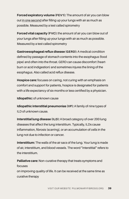**Forced expiratory volume (FEV1):** The amount of air you can blow out in one second after filling up your lungs with air as much as possible. Measured by a test called spirometry

**Forced vital capacity (FVC):** the amount of air you can blow out of your lungs after filling up your lungs with air as much as possible. Measured by a test called spirometry

**Gastroesophageal reflux disease (GERD):** A medical condition defined by passage of stomach contents into the esophagus (food pipe) and often into the throat. GERD can cause discomfort (heartburn or acid indigestion) and sometimes injures the lining of the esophagus. Also called acid reflux disease.

**Hospice care:** focuses on caring, not curing with an emphasis on comfort and support for patients, hospice is designated for patients with a life expectancy of six months or less certified by a physician.

**Idiopathic:** of unknown cause

**Idiopathic interstitial pneumonias (IIP):** A family of nine types of ILD of unknown cause.

**Interstitial lung disease (ILD):** A broad category of over 200 lung diseases that affect the lung interstitium. Typically, ILDs cause inflammation, fibrosis (scarring), or an accumulation of cells in the lung not due to infection or cancer.

**Interstitium:** The walls of the air sacs of the lung. Your lung is made of air, interstitium, and blood vessels. The word "interstitial" refers to the interstitium.

**Palliative care:** Non-curative therapy that treats symptoms and focuses

on improving quality of life. It can be received at the same time as curative therapy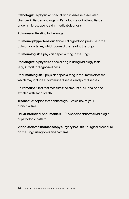**Pathologist:** A physician specializing in disease-associated changes in tissues and organs. Pathologists look at lung tissue under a microscope to aid in medical diagnosis.

**Pulmonary:** Relating to the lungs

**Pulmonary hypertension:** Abnormal high blood pressure in the pulmonary arteries, which connect the heart to the lungs.

**Pulmonologist:** A physician specializing in the lungs

**Radiologist:** A physician specializing in using radiology tests (e.g., X-rays) to diagnose illness

**Rheumatologist:** A physician specializing in rheumatic diseases, which may include autoimmune diseases and joint diseases

**Spirometry:** A test that measures the amount of air inhaled and exhaled with each breath

**Trachea:** Windpipe that connects your voice box to your bronchial tree

**Usual interstitial pneumonia (UIP):** A specific abnormal radiologic or pathologic pattern

**Video-assisted thoracoscopy surgery (VATS):** A surgical procedure on the lungs using tools and cameras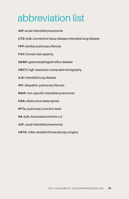# abbreviation list

**AIP:** acute interstitial pneumonia **CTD-ILD:** connective tissue disease interstitial lung disease **FPF:** familial pulmonary fibrosis **FVC:** forced vital capacity **GERD:** gastroesophageal reflux disease **HRCT:** high-resolution computed tomography **ILD:** interstitial lung disease **IPF:** idiopathic pulmonary fibrosis **NSIP:** non-specific interstitial pneumonia **OSA:** obstructive sleep apnea **PFTs:** pulmonary function tests **RA-ILD:** rheumatoid arthritis ILD **UIP:** usual interstitial pneumonia **VATS:** video-assisted thoracoscopy surgery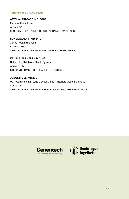#### **THE PFF MEDICAL TEAM**

**AMY HAJARI CASE, MD, FCCP** Piedmont Healthcare Atlanta, GA SENIOR MEDICAL ADVISOR, EDUCATION AND AWARENESS

**SONYE DANOFF, MD, PHD** Johns Hopkins Hospital Baltmore, MD SENIOR MEDICAL ADVISOR, PFF CARE CENTER NETWORK

**KEVIN R. FLAHERTY, MD, MS** University of Michigan Health System Ann Arbor, MI STEERING COMMITTEE CHAIR, PFF REGISTRY

**JOYCE S. LEE, MD, MS** UCHealth Interstitial Lung Disease Clinic - Anschutz Medical Campus Aurora, CO SENIOR MEDICAL ADVISOR, RESEARCH AND HEALTH CARE QUALITY



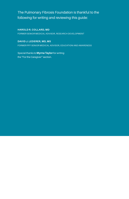### The Pulmonary Fibrosis Foundation is thankful to the following for writing and reviewing this guide:

**HAROLD R. COLLARD, MD**

FORMER SENIOR MEDICAL ADVISOR, RESEARCH DEVELOPMENT

**DAVID J. LEDERER, MD, MS** FORMER PFF SENIOR MEDICAL ADVISOR, EDUCATION AND AWARENESS

Special thanks to **Myrna Taylor** for writing the "For the Caregiver" section.